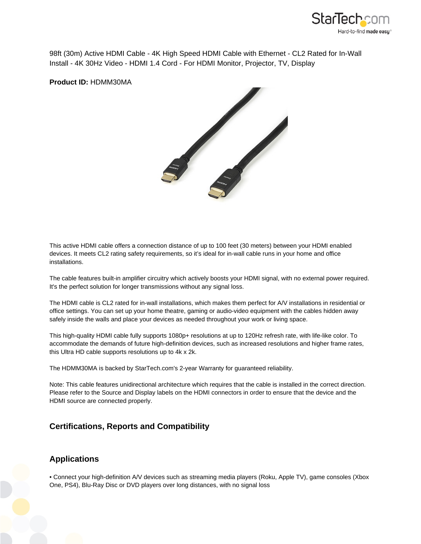

98ft (30m) Active HDMI Cable - 4K High Speed HDMI Cable with Ethernet - CL2 Rated for In-Wall Install - 4K 30Hz Video - HDMI 1.4 Cord - For HDMI Monitor, Projector, TV, Display

**Product ID:** HDMM30MA



This active HDMI cable offers a connection distance of up to 100 feet (30 meters) between your HDMI enabled devices. It meets CL2 rating safety requirements, so it's ideal for in-wall cable runs in your home and office installations.

The cable features built-in amplifier circuitry which actively boosts your HDMI signal, with no external power required. It's the perfect solution for longer transmissions without any signal loss.

The HDMI cable is CL2 rated for in-wall installations, which makes them perfect for A/V installations in residential or office settings. You can set up your home theatre, gaming or audio-video equipment with the cables hidden away safely inside the walls and place your devices as needed throughout your work or living space.

This high-quality HDMI cable fully supports 1080p+ resolutions at up to 120Hz refresh rate, with life-like color. To accommodate the demands of future high-definition devices, such as increased resolutions and higher frame rates, this Ultra HD cable supports resolutions up to 4k x 2k.

The HDMM30MA is backed by StarTech.com's 2-year Warranty for guaranteed reliability.

Note: This cable features unidirectional architecture which requires that the cable is installed in the correct direction. Please refer to the Source and Display labels on the HDMI connectors in order to ensure that the device and the HDMI source are connected properly.

## **Certifications, Reports and Compatibility**

## **Applications**

• Connect your high-definition A/V devices such as streaming media players (Roku, Apple TV), game consoles (Xbox One, PS4), Blu-Ray Disc or DVD players over long distances, with no signal loss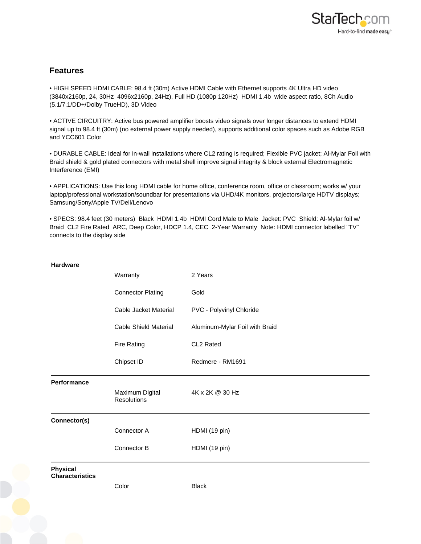

## **Features**

• HIGH SPEED HDMI CABLE: 98.4 ft (30m) Active HDMI Cable with Ethernet supports 4K Ultra HD video (3840x2160p, 24, 30Hz 4096x2160p, 24Hz), Full HD (1080p 120Hz) HDMI 1.4b wide aspect ratio, 8Ch Audio (5.1/7.1/DD+/Dolby TrueHD), 3D Video

• ACTIVE CIRCUITRY: Active bus powered amplifier boosts video signals over longer distances to extend HDMI signal up to 98.4 ft (30m) (no external power supply needed), supports additional color spaces such as Adobe RGB and YCC601 Color

• DURABLE CABLE: Ideal for in-wall installations where CL2 rating is required; Flexible PVC jacket; Al-Mylar Foil with Braid shield & gold plated connectors with metal shell improve signal integrity & block external Electromagnetic Interference (EMI)

• APPLICATIONS: Use this long HDMI cable for home office, conference room, office or classroom; works w/ your laptop/professional workstation/soundbar for presentations via UHD/4K monitors, projectors/large HDTV displays; Samsung/Sony/Apple TV/Dell/Lenovo

• SPECS: 98.4 feet (30 meters) Black HDMI 1.4b HDMI Cord Male to Male Jacket: PVC Shield: Al-Mylar foil w/ Braid CL2 Fire Rated ARC, Deep Color, HDCP 1.4, CEC 2-Year Warranty Note: HDMI connector labelled "TV" connects to the display side

| <b>Hardware</b>                           |                                |                                |
|-------------------------------------------|--------------------------------|--------------------------------|
|                                           | Warranty                       | 2 Years                        |
|                                           | <b>Connector Plating</b>       | Gold                           |
|                                           | Cable Jacket Material          | PVC - Polyvinyl Chloride       |
|                                           | <b>Cable Shield Material</b>   | Aluminum-Mylar Foil with Braid |
|                                           | <b>Fire Rating</b>             | CL2 Rated                      |
|                                           | Chipset ID                     | Redmere - RM1691               |
| <b>Performance</b>                        |                                |                                |
|                                           | Maximum Digital<br>Resolutions | 4K x 2K @ 30 Hz                |
| Connector(s)                              |                                |                                |
|                                           | Connector A                    | HDMI (19 pin)                  |
|                                           | Connector B                    | HDMI (19 pin)                  |
| <b>Physical</b><br><b>Characteristics</b> |                                |                                |
|                                           | Color                          | <b>Black</b>                   |